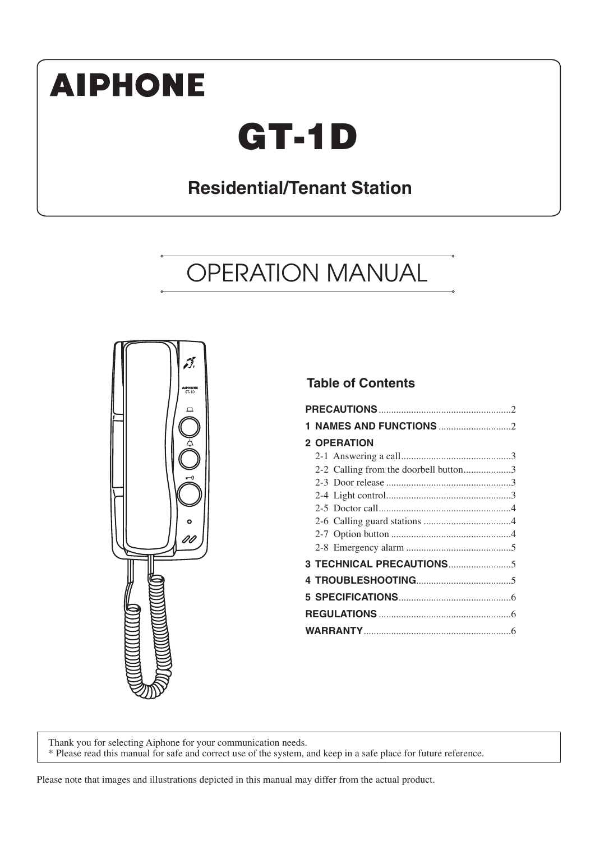# **AIPHONE**

# **GT-1D**

## **Residential/Tenant Station**

## OPERATION MANUAL



## **Table of Contents**

| <b>2 OPERATION</b>                    |  |
|---------------------------------------|--|
|                                       |  |
| 2-2 Calling from the doorbell button3 |  |
|                                       |  |
|                                       |  |
|                                       |  |
|                                       |  |
|                                       |  |
|                                       |  |
|                                       |  |
|                                       |  |
|                                       |  |
|                                       |  |
|                                       |  |
|                                       |  |

Thank you for selecting Aiphone for your communication needs. \* Please read this manual for safe and correct use of the system, and keep in a safe place for future reference.

Please note that images and illustrations depicted in this manual may differ from the actual product.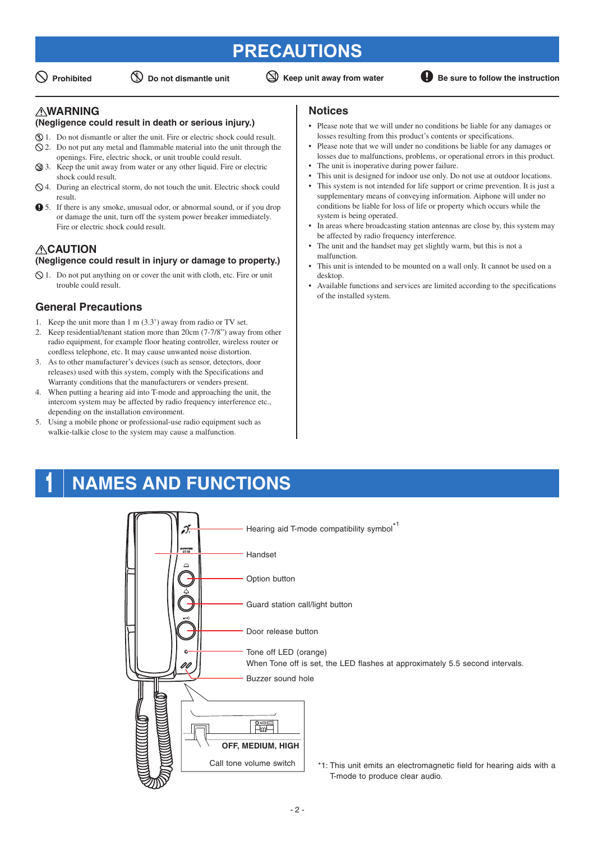## **PRECAUTIONS**

 $\bigcirc$  Prohibited  $\bigcirc$  Do not dismantle unit  $\bigcirc$  Keep unit away from water **B** Be sure to follow the instruction

## **WARNING**

#### **(Negligence could result in death or serious injury.)**

- 1. Do not dismantle or alter the unit. Fire or electric shock could result.
- $\Diamond$  2. Do not put any metal and flammable material into the unit through the openings. Fire, electric shock, or unit trouble could result.
- 3. Keep the unit away from water or any other liquid. Fire or electric shock could result.
- $\Diamond$  4. During an electrical storm, do not touch the unit. Electric shock could result.
- 5. If there is any smoke, unusual odor, or abnormal sound, or if you drop or damage the unit, turn off the system power breaker immediately. Fire or electric shock could result.

### **CAUTION (Negligence could result in injury or damage to property.)**

 $\Diamond$  1. Do not put anything on or cover the unit with cloth, etc. Fire or unit trouble could result.

## **General Precautions**

- 1. Keep the unit more than 1 m (3.3') away from radio or TV set.
- 2. Keep residential/tenant station more than 20cm (7-7/8") away from other radio equipment, for example floor heating controller, wireless router or cordless telephone, etc. It may cause unwanted noise distortion.
- 3. As to other manufacturer's devices (such as sensor, detectors, door releases) used with this system, comply with the Specifications and Warranty conditions that the manufacturers or venders present.
- 4. When putting a hearing aid into T-mode and approaching the unit, the intercom system may be affected by radio frequency interference etc., depending on the installation environment.
- 5. Using a mobile phone or professional-use radio equipment such as walkie-talkie close to the system may cause a malfunction.

## **Notices**

- Please note that we will under no conditions be liable for any damages or losses resulting from this product's contents or specifications.
- Please note that we will under no conditions be liable for any damages or losses due to malfunctions, problems, or operational errors in this product.
- The unit is inoperative during power failure.
- This unit is designed for indoor use only. Do not use at outdoor locations. This system is not intended for life support or crime prevention. It is just a supplementary means of conveying information. Aiphone will under no conditions be liable for loss of life or property which occurs while the system is being operated.
- In areas where broadcasting station antennas are close by, this system may be affected by radio frequency interference.
- The unit and the handset may get slightly warm, but this is not a malfunction.
- This unit is intended to be mounted on a wall only. It cannot be used on a desktop.
- Available functions and services are limited according to the specifications of the installed system.

## **1 NAMES AND FUNCTIONS**

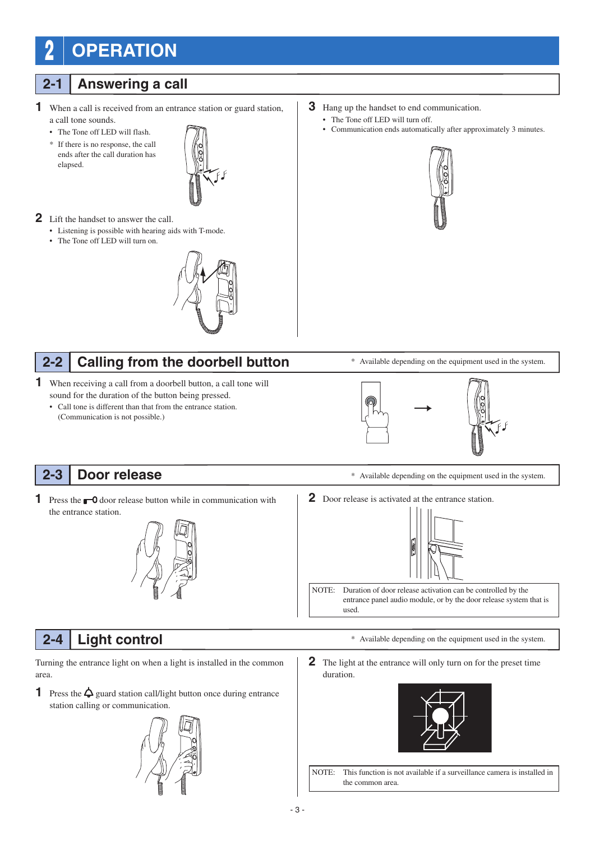## **2 OPERATION**

## **2-1 Answering a call**

- **1** When a call is received from an entrance station or guard station, a call tone sounds.
	- The Tone off LED will flash.
	- \* If there is no response, the call ends after the call duration has elapsed.



### **2** Lift the handset to answer the call.

- Listening is possible with hearing aids with T-mode.
- The Tone off LED will turn on.



#### **Calling from the doorbell button 2-2**

- **1** When receiving a call from a doorbell button, a call tone will sound for the duration of the button being pressed.
	- Call tone is different than that from the entrance station. (Communication is not possible.)



- The Tone off LED will turn off.
- Communication ends automatically after approximately 3 minutes.



\* Available depending on the equipment used in the system.



#### **Door release 2-3**

**1** Press the  $\bullet$  **0** door release button while in communication with the entrance station.



- \* Available depending on the equipment used in the system.
- **2** Door release is activated at the entrance station.



NOTE: Duration of door release activation can be controlled by the entrance panel audio module, or by the door release system that is used.

## **2-4 Light control**

Turning the entrance light on when a light is installed in the common area.

**1** Press the  $\Delta$  guard station call/light button once during entrance station calling or communication.



**2** The light at the entrance will only turn on for the preset time duration.



\* Available depending on the equipment used in the system.

NOTE: This function is not available if a surveillance camera is installed in the common area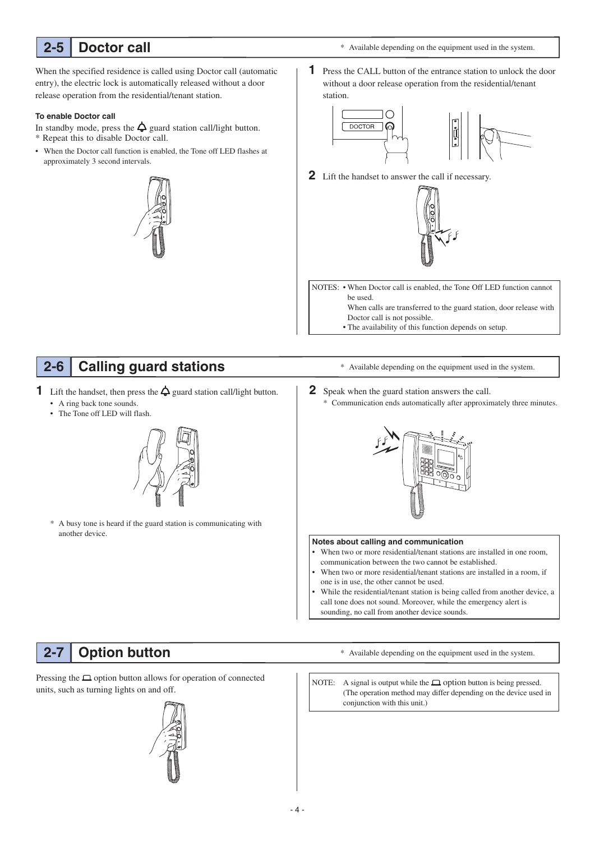#### **Doctor call 2-5**

\* Available depending on the equipment used in the system.

When the specified residence is called using Doctor call (automatic entry), the electric lock is automatically released without a door release operation from the residential/tenant station.

### **To enable Doctor call**

In standby mode, press the  $\Delta$  guard station call/light button. \* Repeat this to disable Doctor call.

• When the Doctor call function is enabled, the Tone off LED flashes at approximately 3 second intervals.



**1** Press the CALL button of the entrance station to unlock the door without a door release operation from the residential/tenant station.



**2** Lift the handset to answer the call if necessary.



NOTES: • When Doctor call is enabled, the Tone Off LED function cannot be used.

When calls are transferred to the guard station, door release with Doctor call is not possible.

• The availability of this function depends on setup.

#### **Calling guard stations 2-6**

**1** Lift the handset, then press the  $\Delta$  guard station call/light button.

- A ring back tone sounds.
- The Tone off LED will flash.



A busy tone is heard if the guard station is communicating with another device.

- \* Available depending on the equipment used in the system.
- **2** Speak when the guard station answers the call.
	- \* Communication ends automatically after approximately three minutes.



#### **Notes about calling and communication**

- When two or more residential/tenant stations are installed in one room, communication between the two cannot be established.
- When two or more residential/tenant stations are installed in a room, if one is in use, the other cannot be used.
- While the residential/tenant station is being called from another device, a call tone does not sound. Moreover, while the emergency alert is sounding, no call from another device sounds.

#### **Option button 2-7**

Pressing the  $\Box$  option button allows for operation of connected units, such as turning lights on and off.

\* Available depending on the equipment used in the system.

NOTE: A signal is output while the  $\Box$  option button is being pressed. (The operation method may differ depending on the device used in conjunction with this unit.)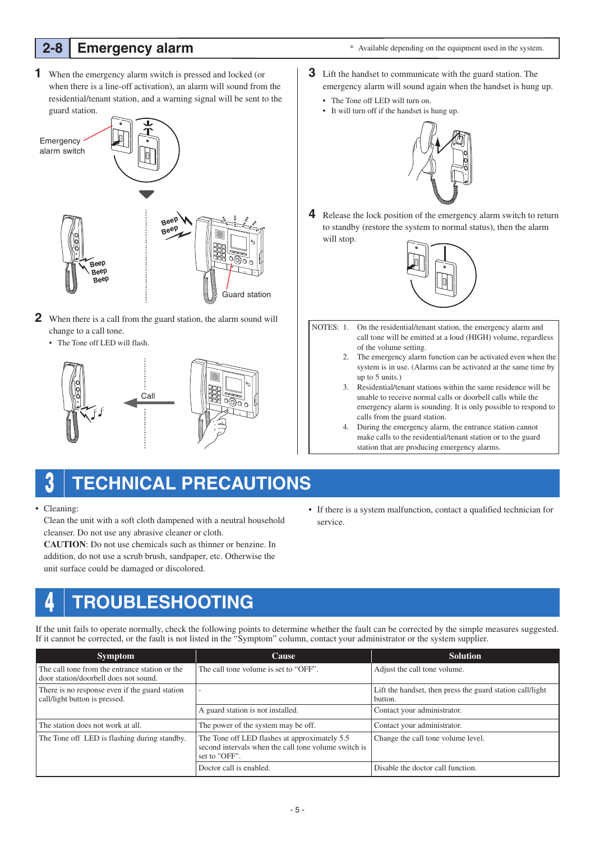## **2-8 Emergency alarm**

\* Available depending on the equipment used in the system.

**1** When the emergency alarm switch is pressed and locked (or when there is a line-off activation), an alarm will sound from the residential/tenant station, and a warning signal will be sent to the guard station.



- **2** When there is a call from the guard station, the alarm sound will change to a call tone.
	- The Tone off LED will flash.



- **3** Lift the handset to communicate with the guard station. The emergency alarm will sound again when the handset is hung up.
	- The Tone off LED will turn on.
	- It will turn off if the handset is hung up.



**4** Release the lock position of the emergency alarm switch to return to standby (restore the system to normal status), then the alarm will stop.



- NOTES: 1. On the residential/tenant station, the emergency alarm and call tone will be emitted at a loud (HIGH) volume, regardless of the volume setting.
	- 2. The emergency alarm function can be activated even when the system is in use. (Alarms can be activated at the same time by up to 5 units.)
	- 3. Residential/tenant stations within the same residence will be unable to receive normal calls or doorbell calls while the emergency alarm is sounding. It is only possible to respond to calls from the guard station.
	- 4. During the emergency alarm, the entrance station cannot make calls to the residential/tenant station or to the guard station that are producing emergency alarms.
- **3 TECHNICAL PRECAUTIONS**
- Cleaning:

 Clean the unit with a soft cloth dampened with a neutral household cleanser. Do not use any abrasive cleaner or cloth.

**CAUTION**: Do not use chemicals such as thinner or benzine. In addition, do not use a scrub brush, sandpaper, etc. Otherwise the unit surface could be damaged or discolored.

• If there is a system malfunction, contact a qualified technician for service.

## **4 TROUBLESHOOTING**

If the unit fails to operate normally, check the following points to determine whether the fault can be corrected by the simple measures suggested. If it cannot be corrected, or the fault is not listed in the "Symptom" column, contact your administrator or the system supplier.

| <b>Symptom</b>                                                                          | <b>Cause</b>                                                                                                           | <b>Solution</b>                                                      |
|-----------------------------------------------------------------------------------------|------------------------------------------------------------------------------------------------------------------------|----------------------------------------------------------------------|
| The call tone from the entrance station or the<br>door station/doorbell does not sound. | The call tone volume is set to "OFF".                                                                                  | Adjust the call tone volume.                                         |
| There is no response even if the guard station<br>call/light button is pressed.         |                                                                                                                        | Lift the handset, then press the guard station call/light<br>button. |
|                                                                                         | A guard station is not installed.                                                                                      | Contact your administrator.                                          |
| The station does not work at all.                                                       | The power of the system may be off.                                                                                    | Contact your administrator.                                          |
| The Tone off LED is flashing during standby.                                            | The Tone off LED flashes at approximately 5.5<br>second intervals when the call tone volume switch is<br>set to "OFF". | Change the call tone volume level.                                   |
|                                                                                         | Doctor call is enabled.                                                                                                | Disable the doctor call function.                                    |